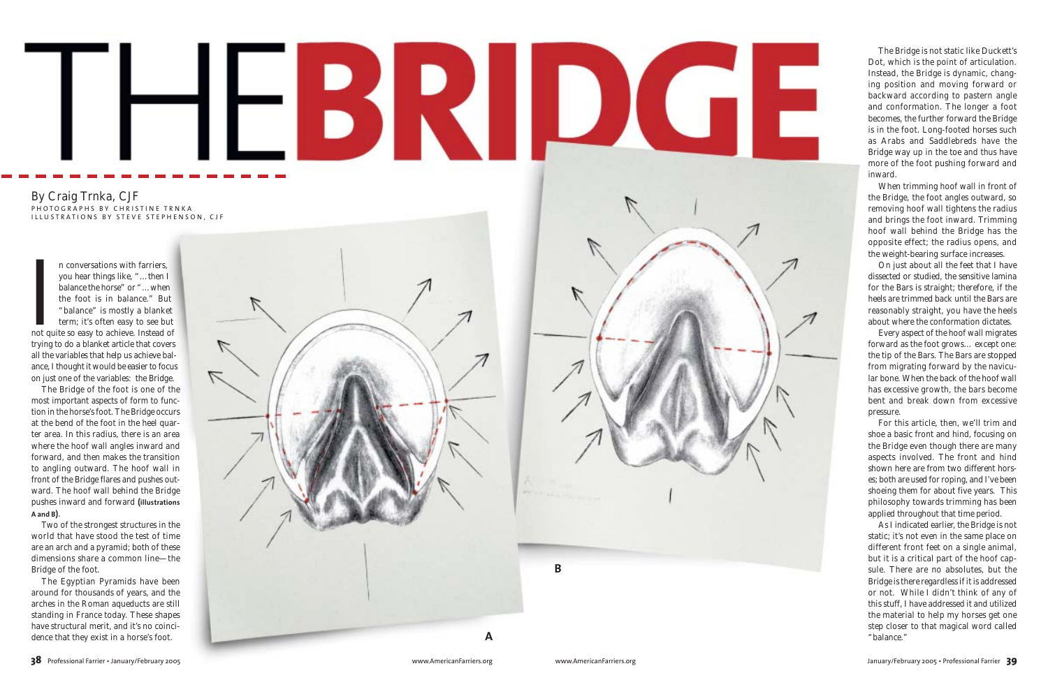## BRIIDI

## By Craig Trnka, CJF PHOTOGRAPHS BY CHRISTINE TRNKA ILLUSTRATIONS BY STEVE STEPHENSON, CJF

**Indeed Section** n conversations with farriers, you hear things like, "…then I balance the horse" or "…when the foot is in balance." But "balance" is mostly a blanket term; it's often easy to see but not quite so easy to achieve. Instead of trying to do a blanket article that covers all the variables that help us achieve balance, I thought it would be easier to focus on just one of the variables: the Bridge.

The Bridge of the foot is one of the most important aspects of form to function in the horse's foot. The Bridge occurs at the bend of the foot in the heel quarter area. In this radius, there is an area where the hoof wall angles inward and forward, and then makes the transition to angling outward. The hoof wall in front of the Bridge flares and pushes outward. The hoof wall behind the Bridge pushes inward and forward **(illustrations A and B )**.

Two of the strongest structures in the world that have stood the test of time are an arch and a pyramid; both of these dimensions share a common line—the Bridge of the foot.

The Egyptian Pyramids have been around for thousands of years, and the arches in the Roman aqueducts are still standing in France today. These shapes have structural merit, and it's no coincidence that they exist in a horse's foot.





As I indicated earlier, the Bridge is not static; it's not even in the same place on different front feet on a single animal, but it is a critical part of the hoof capsule. There are no absolutes, but the Bridge is there regardless if it is addressed or not. While I didn't think of any of this stuff, I have addressed it and utilized the material to help my horses get one step closer to that magical word called **B**<br>
sule. Ther<br>
Bridge is th<br>
or not. W<br>
this stuff, I<br>
the materi<br>
step closer<br>
"balance."

The Bridge is not static like Duckett's Dot, which is the point of articulation. Instead, the Bridge is dynamic, changing position and moving forward or backward according to pastern angle and conformation. The longer a foot becomes, the further forward the Bridge is in the foot. Long-footed horses such as Arabs and Saddlebreds have the Bridge way up in the toe and thus have more of the foot pushing forward and inward.

When trimming hoof wall in front of the Bridge, the foot angles outward, so removing hoof wall tightens the radius and brings the foot inward. Trimming hoof wall behind the Bridge has the opposite effect; the radius opens, and the weight-bearing surface increases.

On just about all the feet that I have dissected or studied, the sensitive lamina for the Bars is straight; therefore, if the heels are trimmed back until the Bars are reasonably straight, you have the heels about where the conformation dictates.

Every aspect of the hoof wall migrates forward as the foot grows… except one: the tip of the Bars. The Bars are stopped from migrating forward by the navicular bone. When the back of the hoof wall has excessive growth, the bars become bent and break down from excessive pressure.

For this article, then, we'll trim and shoe a basic front and hind, focusing on the Bridge even though there are many aspects involved. The front and hind shown here are from two different horses; both are used for roping, and I've been shoeing them for about five years. This philosophy towards trimming has been applied throughout that time period.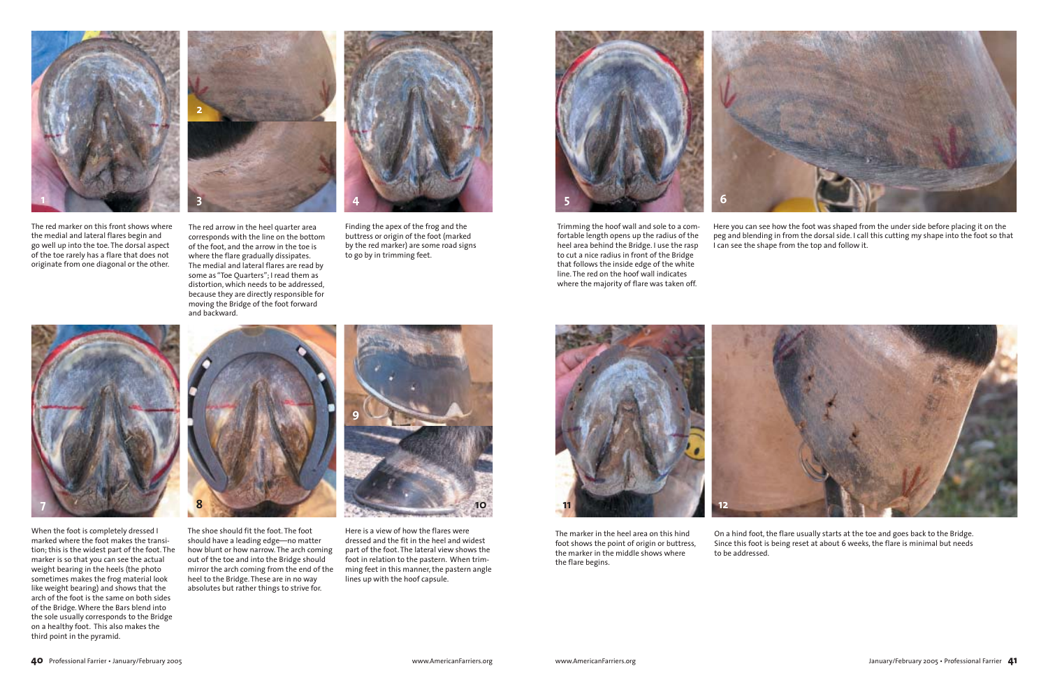The red marker on this front shows where the medial and lateral flares begin and go well up into the toe. The dorsal aspect of the toe rarely has a flare that does not originate from one diagonal or the other.

Trimming the hoof wall and sole to a comfortable length opens up the radius of the heel area behind the Bridge. I use the rasp to cut a nice radius in front of the Bridge that follows the inside edge of the white line. The red on the hoof wall indicates where the majority of flare was taken off.



When the foot is completely dressed I marked where the foot makes the transition; this is the widest part of the foot. The marker is so that you can see the actual weight bearing in the heels (the photo sometimes makes the frog material look like weight bearing) and shows that the arch of the foot is the same on both sides of the Bridge. Where the Bars blend into the sole usually corresponds to the Bridge on a healthy foot. This also makes the third point in the pyramid.



The shoe should fit the foot. The foot should have a leading edge—no matter how blunt or how narrow. The arch coming out of the toe and into the Bridge should mirror the arch coming from the end of the heel to the Bridge. These are in no way absolutes but rather things to strive for.

The red arrow in the heel quarter area corresponds with the line on the bottom of the foot, and the arrow in the toe is where the flare gradually dissipates. The medial and lateral flares are read by some as "Toe Quarters"; I read them as distortion, which needs to be addressed, because they are directly responsible for moving the Bridge of the foot forward and backward.



Here you can see how the foot was shaped from the under side before placing it on the peg and blending in from the dorsal side. I call this cutting my shape into the foot so that I can see the shape from the top and follow it.



Finding the apex of the frog and the buttress or origin of the foot (marked by the red marker) are some road signs to go by in trimming feet.

dressed and the fit in the heel and widest part of the foot. The lateral view shows the foot in relation to the pastern. When trimming feet in this manner, the pastern angle lines up with the hoof capsule.



The marker in the heel area on this hind foot shows the point of origin or buttress, the marker in the middle shows where the flare begins.

On a hind foot, the flare usually starts at the toe and goes back to the Bridge. Since this foot is being reset at about 6 weeks, the flare is minimal but needs to be addressed.